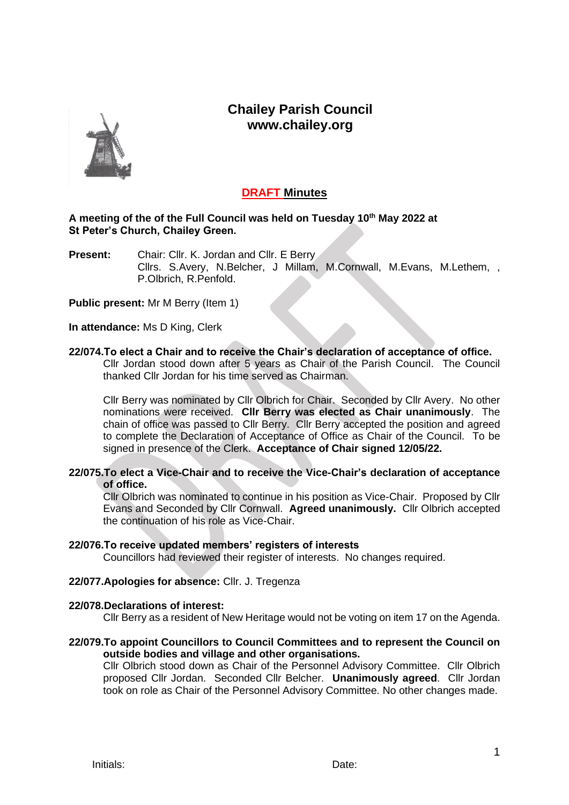## **Chailey Parish Council www.chailey.org**



### **DRAFT Minutes**

#### **A meeting of the of the Full Council was held on Tuesday 10th May 2022 at St Peter's Church, Chailey Green.**

**Present:** Chair: Cllr. K. Jordan and Cllr. E Berry Cllrs. S.Avery, N.Belcher, J Millam, M.Cornwall, M.Evans, M.Lethem, , P.Olbrich, R.Penfold.

**Public present:** Mr M Berry (Item 1)

**In attendance:** Ms D King, Clerk

# **22/074.To elect a Chair and to receive the Chair's declaration of acceptance of office.**

Cllr Jordan stood down after 5 years as Chair of the Parish Council. The Council thanked Cllr Jordan for his time served as Chairman.

Cllr Berry was nominated by Cllr Olbrich for Chair. Seconded by Cllr Avery. No other nominations were received. **Cllr Berry was elected as Chair unanimously**. The chain of office was passed to Cllr Berry. Cllr Berry accepted the position and agreed to complete the Declaration of Acceptance of Office as Chair of the Council. To be signed in presence of the Clerk. **Acceptance of Chair signed 12/05/22.**

**22/075.To elect a Vice-Chair and to receive the Vice-Chair's declaration of acceptance of office.**

Cllr Olbrich was nominated to continue in his position as Vice-Chair. Proposed by Cllr Evans and Seconded by Cllr Cornwall. **Agreed unanimously.** Cllr Olbrich accepted the continuation of his role as Vice-Chair.

#### **22/076.To receive updated members' registers of interests**

Councillors had reviewed their register of interests. No changes required.

#### **22/077.Apologies for absence:** Cllr. J. Tregenza

#### **22/078.Declarations of interest:**

Cllr Berry as a resident of New Heritage would not be voting on item 17 on the Agenda.

#### **22/079.To appoint Councillors to Council Committees and to represent the Council on outside bodies and village and other organisations.**

Cllr Olbrich stood down as Chair of the Personnel Advisory Committee. Cllr Olbrich proposed Cllr Jordan. Seconded Cllr Belcher. **Unanimously agreed**. Cllr Jordan took on role as Chair of the Personnel Advisory Committee. No other changes made.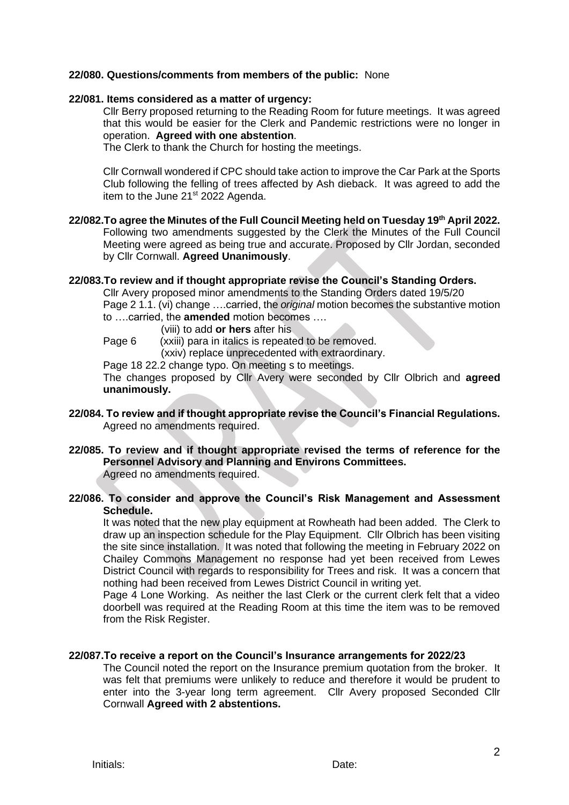#### **22/080. Questions/comments from members of the public:** None

#### **22/081. Items considered as a matter of urgency:**

Cllr Berry proposed returning to the Reading Room for future meetings. It was agreed that this would be easier for the Clerk and Pandemic restrictions were no longer in operation. **Agreed with one abstention**.

The Clerk to thank the Church for hosting the meetings.

Cllr Cornwall wondered if CPC should take action to improve the Car Park at the Sports Club following the felling of trees affected by Ash dieback. It was agreed to add the item to the June 21<sup>st</sup> 2022 Agenda.

#### **22/082.To agree the Minutes of the Full Council Meeting held on Tuesday 19th April 2022.**  Following two amendments suggested by the Clerk the Minutes of the Full Council Meeting were agreed as being true and accurate. Proposed by Cllr Jordan, seconded by Cllr Cornwall. **Agreed Unanimously**.

#### **22/083.To review and if thought appropriate revise the Council's Standing Orders.**

Cllr Avery proposed minor amendments to the Standing Orders dated 19/5/20 Page 2 1.1. (vi) change ….carried, the *original* motion becomes the substantive motion to ….carried, the **amended** motion becomes ….

- (viii) to add **or hers** after his
- Page 6 (xxiii) para in italics is repeated to be removed.

(xxiv) replace unprecedented with extraordinary.

Page 18 22.2 change typo. On meeting s to meetings.

The changes proposed by Cllr Avery were seconded by Cllr Olbrich and **agreed unanimously.** 

- **22/084. To review and if thought appropriate revise the Council's Financial Regulations.** Agreed no amendments required.
- **22/085. To review and if thought appropriate revised the terms of reference for the Personnel Advisory and Planning and Environs Committees.** Agreed no amendments required.

#### **22/086. To consider and approve the Council's Risk Management and Assessment Schedule.**

It was noted that the new play equipment at Rowheath had been added. The Clerk to draw up an inspection schedule for the Play Equipment. Cllr Olbrich has been visiting the site since installation. It was noted that following the meeting in February 2022 on Chailey Commons Management no response had yet been received from Lewes District Council with regards to responsibility for Trees and risk. It was a concern that nothing had been received from Lewes District Council in writing yet.

Page 4 Lone Working. As neither the last Clerk or the current clerk felt that a video doorbell was required at the Reading Room at this time the item was to be removed from the Risk Register.

#### **22/087.To receive a report on the Council's Insurance arrangements for 2022/23**

The Council noted the report on the Insurance premium quotation from the broker. It was felt that premiums were unlikely to reduce and therefore it would be prudent to enter into the 3-year long term agreement. Cllr Avery proposed Seconded Cllr Cornwall **Agreed with 2 abstentions.**